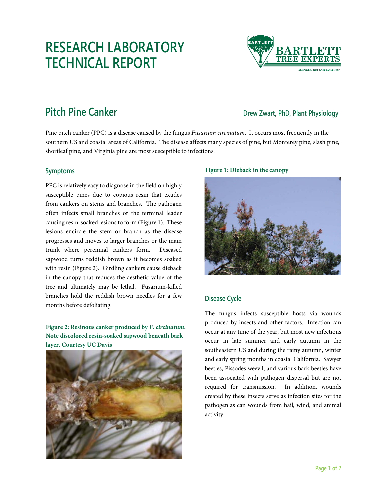# **RESEARCH LABORATORY TECHNICAL REPORT**



## **Pitch Pine Canker Direction Canker** *Drew Zwart, PhD, Plant Physiology**Drew Zwart, PhD, Plant Physiology*

Pine pitch canker (PPC) is a disease caused by the fungus *Fusarium circinatum*. It occurs most frequently in the southern US and coastal areas of California. The disease affects many species of pine, but Monterey pine, slash pine, shortleaf pine, and Virginia pine are most susceptible to infections.

### **Symptoms**

PPC is relatively easy to diagnose in the field on highly susceptible pines due to copious resin that exudes from cankers on stems and branches. The pathogen often infects small branches or the terminal leader causing resin-soaked lesions to form (Figure 1). These lesions encircle the stem or branch as the disease progresses and moves to larger branches or the main trunk where perennial cankers form. Diseased sapwood turns reddish brown as it becomes soaked with resin (Figure 2). Girdling cankers cause dieback in the canopy that reduces the aesthetic value of the tree and ultimately may be lethal. Fusarium-killed branches hold the reddish brown needles for a few months before defoliating.

**Figure 2: Resinous canker produced by** *F. circinatum***. Note discolored resin-soaked sapwood beneath bark layer. Courtesy UC Davis**



#### **Figure 1: Dieback in the canopy**



### **Disease Cycle**

The fungus infects susceptible hosts via wounds produced by insects and other factors. Infection can occur at any time of the year, but most new infections occur in late summer and early autumn in the southeastern US and during the rainy autumn, winter and early spring months in coastal California. Sawyer beetles, Pissodes weevil, and various bark beetles have been associated with pathogen dispersal but are not required for transmission. In addition, wounds created by these insects serve as infection sites for the pathogen as can wounds from hail, wind, and animal activity.